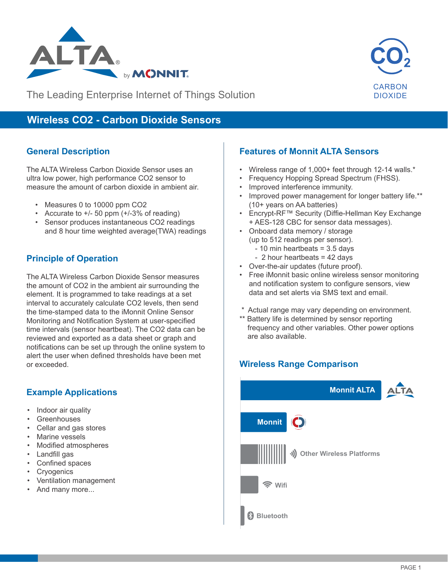



The Leading Enterprise Internet of Things Solution

# **Wireless CO2 - Carbon Dioxide Sensors**

#### **General Description**

The ALTA Wireless Carbon Dioxide Sensor uses an ultra low power, high performance CO2 sensor to measure the amount of carbon dioxide in ambient air.

- Measures 0 to 10000 ppm CO2
- Accurate to  $+/-50$  ppm  $(+/-3%$  of reading)
- Sensor produces instantaneous CO2 readings and 8 hour time weighted average(TWA) readings

#### **Principle of Operation**

The ALTA Wireless Carbon Dioxide Sensor measures the amount of CO2 in the ambient air surrounding the element. It is programmed to take readings at a set interval to accurately calculate CO2 levels, then send the time-stamped data to the iMonnit Online Sensor Monitoring and Notification System at user-specified time intervals (sensor heartbeat). The CO2 data can be reviewed and exported as a data sheet or graph and notifications can be set up through the online system to alert the user when defined thresholds have been met or exceeded.

## **Example Applications**

- Indoor air quality
- Greenhouses
- Cellar and gas stores
- Marine vessels
- Modified atmospheres
- Landfill gas
- Confined spaces
- **Cryogenics**
- Ventilation management
- And many more...

### **Features of Monnit ALTA Sensors**

- Wireless range of 1,000+ feet through 12-14 walls.\*
- Frequency Hopping Spread Spectrum (FHSS).
- Improved interference immunity.
- Improved power management for longer battery life.\*\* (10+ years on AA batteries)
- Encrypt-RF™ Security (Diffie-Hellman Key Exchange + AES-128 CBC for sensor data messages).
- Onboard data memory / storage (up to 512 readings per sensor).
	- 10 min heartbeats = 3.5 days
	- 2 hour heartbeats = 42 days
- Over-the-air updates (future proof).
- Free iMonnit basic online wireless sensor monitoring and notification system to configure sensors, view data and set alerts via SMS text and email.
- \* Actual range may vary depending on environment.
- \*\* Battery life is determined by sensor reporting frequency and other variables. Other power options are also available.

# **Wireless Range Comparison Wireless Range Comparison**

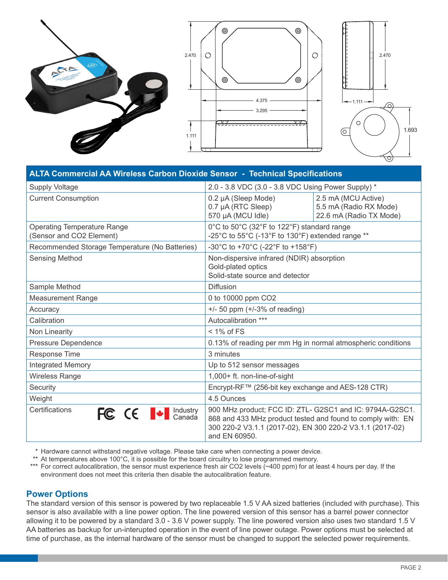

| <b>ALTA Commercial AA Wireless Carbon Dioxide Sensor - Technical Specifications</b> |                                                                                                                                                                                                       |                                                                          |  |
|-------------------------------------------------------------------------------------|-------------------------------------------------------------------------------------------------------------------------------------------------------------------------------------------------------|--------------------------------------------------------------------------|--|
| <b>Supply Voltage</b>                                                               | 2.0 - 3.8 VDC (3.0 - 3.8 VDC Using Power Supply) *                                                                                                                                                    |                                                                          |  |
| <b>Current Consumption</b>                                                          | 0.2 µA (Sleep Mode)<br>0.7 µA (RTC Sleep)<br>570 µA (MCU Idle)                                                                                                                                        | 2.5 mA (MCU Active)<br>5.5 mA (Radio RX Mode)<br>22.6 mA (Radio TX Mode) |  |
| <b>Operating Temperature Range</b><br>(Sensor and CO2 Element)                      | 0°C to 50°C (32°F to 122°F) standard range<br>-25°C to 55°C (-13°F to 130°F) extended range **                                                                                                        |                                                                          |  |
| Recommended Storage Temperature (No Batteries)                                      | -30°C to +70°C (-22°F to +158°F)                                                                                                                                                                      |                                                                          |  |
| <b>Sensing Method</b>                                                               | Non-dispersive infrared (NDIR) absorption<br>Gold-plated optics<br>Solid-state source and detector                                                                                                    |                                                                          |  |
| Sample Method                                                                       | <b>Diffusion</b>                                                                                                                                                                                      |                                                                          |  |
| <b>Measurement Range</b>                                                            | 0 to 10000 ppm CO2                                                                                                                                                                                    |                                                                          |  |
| Accuracy                                                                            | $+/-$ 50 ppm ( $+/-3\%$ of reading)                                                                                                                                                                   |                                                                          |  |
| Calibration                                                                         | Autocalibration ***                                                                                                                                                                                   |                                                                          |  |
| Non Linearity                                                                       | $< 1\%$ of FS                                                                                                                                                                                         |                                                                          |  |
| Pressure Dependence                                                                 | 0.13% of reading per mm Hg in normal atmospheric conditions                                                                                                                                           |                                                                          |  |
| <b>Response Time</b>                                                                | 3 minutes                                                                                                                                                                                             |                                                                          |  |
| <b>Integrated Memory</b>                                                            | Up to 512 sensor messages                                                                                                                                                                             |                                                                          |  |
| <b>Wireless Range</b>                                                               | 1,000+ ft. non-line-of-sight                                                                                                                                                                          |                                                                          |  |
| Security                                                                            | Encrypt-RF™ (256-bit key exchange and AES-128 CTR)                                                                                                                                                    |                                                                          |  |
| Weight                                                                              | 4.5 Ounces                                                                                                                                                                                            |                                                                          |  |
| Certifications<br>FC CE + Canada                                                    | 900 MHz product; FCC ID: ZTL- G2SC1 and IC: 9794A-G2SC1.<br>868 and 433 MHz product tested and found to comply with: EN<br>300 220-2 V3.1.1 (2017-02), EN 300 220-2 V3.1.1 (2017-02)<br>and EN 60950. |                                                                          |  |

\* Hardware cannot withstand negative voltage. Please take care when connecting a power device.

\*\* At temperatures above 100°C, it is possible for the board circuitry to lose programmed memory.

\*\*\* For correct autocalibration, the sensor must experience fresh air CO2 levels (~400 ppm) for at least 4 hours per day. If the environment does not meet this criteria then disable the autocalibration feature.

#### **Power Options**

The standard version of this sensor is powered by two replaceable 1.5 V AA sized batteries (included with purchase). This sensor is also available with a line power option. The line powered version of this sensor has a barrel power connector allowing it to be powered by a standard 3.0 - 3.6 V power supply. The line powered version also uses two standard 1.5 V AA batteries as backup for un-interupted operation in the event of line power outage. Power options must be selected at time of purchase, as the internal hardware of the sensor must be changed to support the selected power requirements.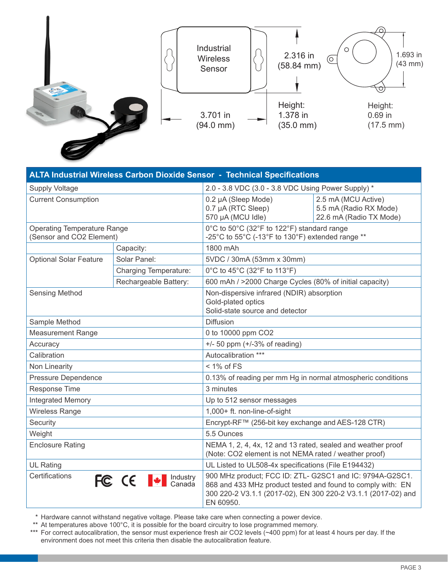

| ALTA Industrial Wireless Carbon Dioxide Sensor - Technical Specifications                                                                                                                                                                 |                                                     |                                                                                                                      |                                                                          |  |
|-------------------------------------------------------------------------------------------------------------------------------------------------------------------------------------------------------------------------------------------|-----------------------------------------------------|----------------------------------------------------------------------------------------------------------------------|--------------------------------------------------------------------------|--|
| <b>Supply Voltage</b>                                                                                                                                                                                                                     |                                                     | 2.0 - 3.8 VDC (3.0 - 3.8 VDC Using Power Supply) *                                                                   |                                                                          |  |
| <b>Current Consumption</b>                                                                                                                                                                                                                |                                                     | 0.2 µA (Sleep Mode)<br>0.7 µA (RTC Sleep)<br>570 µA (MCU Idle)                                                       | 2.5 mA (MCU Active)<br>5.5 mA (Radio RX Mode)<br>22.6 mA (Radio TX Mode) |  |
| <b>Operating Temperature Range</b><br>(Sensor and CO2 Element)                                                                                                                                                                            |                                                     | 0°C to 50°C (32°F to 122°F) standard range<br>-25°C to 55°C (-13°F to 130°F) extended range **                       |                                                                          |  |
|                                                                                                                                                                                                                                           | Capacity:                                           | 1800 mAh                                                                                                             |                                                                          |  |
| <b>Optional Solar Feature</b>                                                                                                                                                                                                             | Solar Panel:                                        | 5VDC / 30mA (53mm x 30mm)                                                                                            |                                                                          |  |
|                                                                                                                                                                                                                                           | <b>Charging Temperature:</b>                        | 0°C to 45°C (32°F to 113°F)                                                                                          |                                                                          |  |
|                                                                                                                                                                                                                                           | Rechargeable Battery:                               | 600 mAh / >2000 Charge Cycles (80% of initial capacity)                                                              |                                                                          |  |
| <b>Sensing Method</b>                                                                                                                                                                                                                     |                                                     | Non-dispersive infrared (NDIR) absorption<br>Gold-plated optics<br>Solid-state source and detector                   |                                                                          |  |
| Sample Method                                                                                                                                                                                                                             |                                                     | <b>Diffusion</b>                                                                                                     |                                                                          |  |
| <b>Measurement Range</b>                                                                                                                                                                                                                  |                                                     | 0 to 10000 ppm CO2                                                                                                   |                                                                          |  |
| Accuracy                                                                                                                                                                                                                                  |                                                     | $+/-$ 50 ppm $(+/-3\%$ of reading)                                                                                   |                                                                          |  |
| Calibration                                                                                                                                                                                                                               |                                                     | Autocalibration ***                                                                                                  |                                                                          |  |
| Non Linearity                                                                                                                                                                                                                             |                                                     | $< 1\%$ of FS                                                                                                        |                                                                          |  |
| Pressure Dependence                                                                                                                                                                                                                       |                                                     | 0.13% of reading per mm Hg in normal atmospheric conditions                                                          |                                                                          |  |
| Response Time                                                                                                                                                                                                                             |                                                     | 3 minutes                                                                                                            |                                                                          |  |
| Integrated Memory                                                                                                                                                                                                                         |                                                     | Up to 512 sensor messages                                                                                            |                                                                          |  |
| <b>Wireless Range</b>                                                                                                                                                                                                                     |                                                     | 1,000+ ft. non-line-of-sight                                                                                         |                                                                          |  |
| Security                                                                                                                                                                                                                                  |                                                     | Encrypt-RF™ (256-bit key exchange and AES-128 CTR)                                                                   |                                                                          |  |
| Weight                                                                                                                                                                                                                                    |                                                     | 5.5 Ounces                                                                                                           |                                                                          |  |
| <b>Enclosure Rating</b>                                                                                                                                                                                                                   |                                                     | NEMA 1, 2, 4, 4x, 12 and 13 rated, sealed and weather proof<br>(Note: CO2 element is not NEMA rated / weather proof) |                                                                          |  |
| <b>UL Rating</b>                                                                                                                                                                                                                          | UL Listed to UL508-4x specifications (File E194432) |                                                                                                                      |                                                                          |  |
| 900 MHz product; FCC ID: ZTL- G2SC1 and IC: 9794A-G2SC1.<br>Certifications<br>FC CE + Canada<br>868 and 433 MHz product tested and found to comply with: EN<br>300 220-2 V3.1.1 (2017-02), EN 300 220-2 V3.1.1 (2017-02) and<br>EN 60950. |                                                     |                                                                                                                      |                                                                          |  |

\* Hardware cannot withstand negative voltage. Please take care when connecting a power device.

\*\* At temperatures above 100°C, it is possible for the board circuitry to lose programmed memory.

\*\*\* For correct autocalibration, the sensor must experience fresh air CO2 levels (~400 ppm) for at least 4 hours per day. If the environment does not meet this criteria then disable the autocalibration feature.